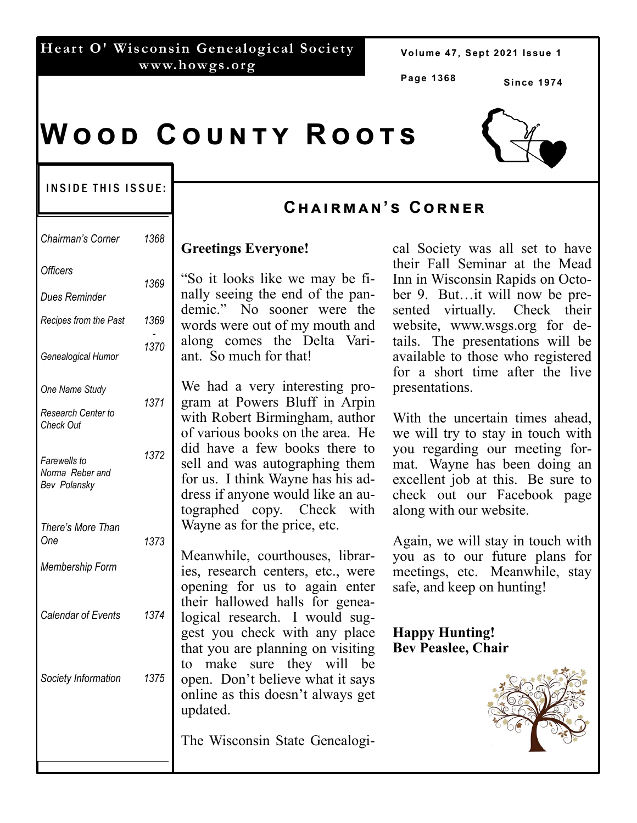#### **Heart O' Wisconsin Genealogical Society www.howgs.org**

Volume 47, Sept 2021 Issue 1

**Page 1368** 

**Since 1974** 

# **WOOD COUNTY ROOTS**

#### INSIDE THIS ISSUE:

| Chairman's Corner                                        | 1368 | G                          |
|----------------------------------------------------------|------|----------------------------|
| <b>Officers</b><br><b>Dues Reminder</b>                  | 1369 | $\frac{1}{2}$<br>na        |
| Recipes from the Past                                    | 1369 | de<br>W <sup>(</sup>       |
| Genealogical Humor                                       | 1370 | al<br>an                   |
| One Name Study<br>Research Center to<br><b>Check Out</b> | 1371 | W<br>gr<br>wi<br>of        |
| Farewells to<br>Norma Reber and<br>Bev Polansky          | 1372 | di<br>se<br>fo<br>dr<br>to |
| There's More Than<br>One<br>Membership Form              | 1373 | W<br>M<br>ies<br>op        |
| <b>Calendar of Events</b>                                | 1374 | th<br>lo<br>ge<br>th       |
| Society Information                                      | 1375 | to<br>op<br>on<br>up       |
|                                                          |      | Tł                         |

# **Cඐඉඑකඕඉඖ'ඛ Cකඖඍක**

#### **Greetings Everyone!**

So it looks like we may be filly seeing the end of the panemic." No sooner were the words were out of my mouth and ong comes the Delta Variant. So much for that!

We had a very interesting proam at Powers Bluff in Arpin ith Robert Birmingham, author various books on the area. He d have a few books there to Il and was autographing them r us. I think Wayne has his adess if anyone would like an augraphed copy. Check with Wayne as for the price, etc.

leanwhile, courthouses, librars, research centers, etc., were opening for us to again enter eir hallowed halls for geneagical research. I would sugest you check with any place at you are planning on visiting make sure they will be open. Don't believe what it says hine as this doesn't always get dated.

he Wisconsin State Genealogi-

cal Society was all set to have their Fall Seminar at the Mead Inn in Wisconsin Rapids on October 9. But…it will now be presented virtually. Check their website, www.wsgs.org for details. The presentations will be available to those who registered for a short time after the live presentations.

With the uncertain times ahead, we will try to stay in touch with you regarding our meeting format. Wayne has been doing an excellent job at this. Be sure to check out our Facebook page along with our website.

Again, we will stay in touch with you as to our future plans for meetings, etc. Meanwhile, stay safe, and keep on hunting!

**Happy Hunting! Bev Peaslee, Chair** 

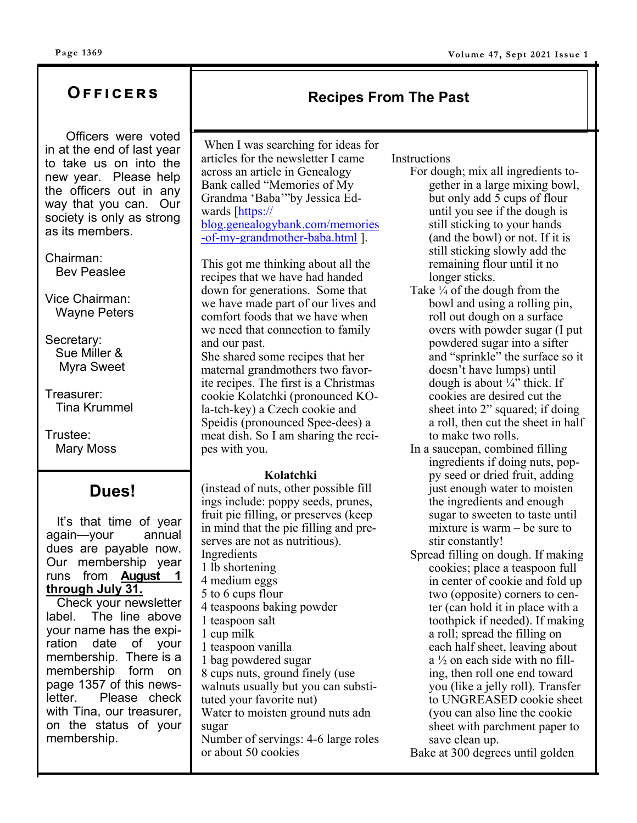# **Oඎඎඑඋඍකඛ**

 Officers were voted in at the end of last year to take us on into the new year. Please help the officers out in any way that you can. Our society is only as strong as its members.

Chairman: Bev Peaslee

Vice Chairman: Wayne Peters

Secretary: Sue Miller & Myra Sweet

Treasurer: Tina Krummel

Trustee: Mary Moss

# **Dues!**

 It's that time of year again—your annual dues are payable now. Our membership year runs from **August 1 through July 31.** 

 Check your newsletter label. The line above your name has the expiration date of your membership. There is a membership form on page 1357 of this newsletter. Please check with Tina, our treasurer, on the status of your membership.

# When I was searching for ideas for

articles for the newsletter I came across an article in Genealogy Bank called "Memories of My Grandma 'Baba'"by Jessica Edwards [https:// blog.genealogybank.com/memories -of-my-grandmother-baba.html ].

This got me thinking about all the recipes that we have had handed down for generations. Some that we have made part of our lives and comfort foods that we have when we need that connection to family and our past.

She shared some recipes that her maternal grandmothers two favorite recipes. The first is a Christmas cookie Kolatchki (pronounced KOla-tch-key) a Czech cookie and Speidis (pronounced Spee-dees) a meat dish. So I am sharing the recipes with you.

#### **Kolatchki**

(instead of nuts, other possible fill ings include: poppy seeds, prunes, fruit pie filling, or preserves (keep in mind that the pie filling and preserves are not as nutritious). Ingredients 1 lb shortening 4 medium eggs 5 to 6 cups flour 4 teaspoons baking powder 1 teaspoon salt 1 cup milk 1 teaspoon vanilla 1 bag powdered sugar 8 cups nuts, ground finely (use walnuts usually but you can substituted your favorite nut) Water to moisten ground nuts adn sugar Number of servings: 4-6 large roles or about 50 cookies

#### **Instructions**

**Recipes From The Past**

- For dough; mix all ingredients together in a large mixing bowl, but only add 5 cups of flour until you see if the dough is still sticking to your hands (and the bowl) or not. If it is still sticking slowly add the remaining flour until it no longer sticks.
- Take ¼ of the dough from the bowl and using a rolling pin, roll out dough on a surface overs with powder sugar (I put powdered sugar into a sifter and "sprinkle" the surface so it doesn't have lumps) until dough is about  $\frac{1}{4}$  thick. If cookies are desired cut the sheet into 2" squared; if doing a roll, then cut the sheet in half to make two rolls.
- In a saucepan, combined filling ingredients if doing nuts, poppy seed or dried fruit, adding just enough water to moisten the ingredients and enough sugar to sweeten to taste until mixture is warm – be sure to stir constantly!
- Spread filling on dough. If making cookies; place a teaspoon full in center of cookie and fold up two (opposite) corners to center (can hold it in place with a toothpick if needed). If making a roll; spread the filling on each half sheet, leaving about a ½ on each side with no filling, then roll one end toward you (like a jelly roll). Transfer to UNGREASED cookie sheet (you can also line the cookie sheet with parchment paper to save clean up.

Bake at 300 degrees until golden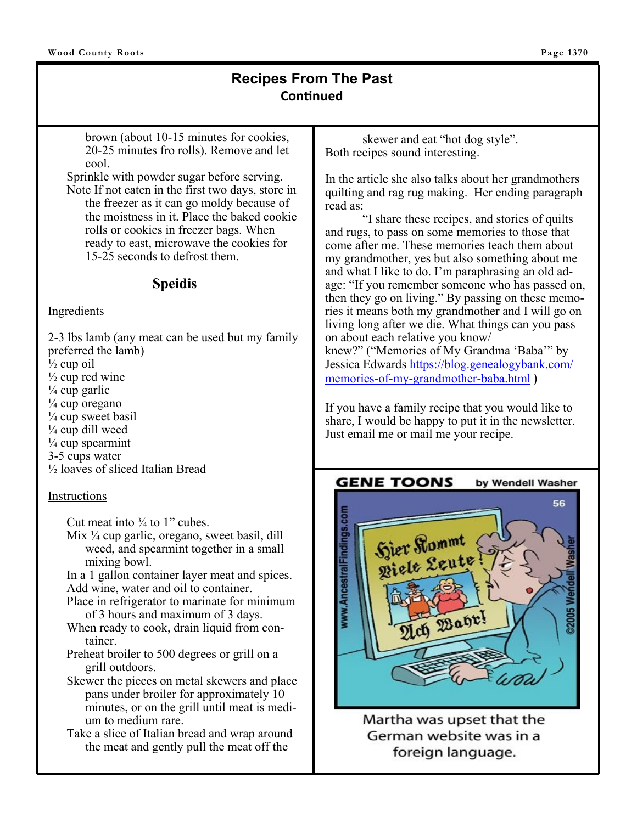## **Recipes From The Past ConƟnued**

brown (about 10-15 minutes for cookies, 20-25 minutes fro rolls). Remove and let cool.

Sprinkle with powder sugar before serving. Note If not eaten in the first two days, store in the freezer as it can go moldy because of the moistness in it. Place the baked cookie rolls or cookies in freezer bags. When ready to east, microwave the cookies for 15-25 seconds to defrost them.

#### **Speidis**

#### Ingredients

2-3 lbs lamb (any meat can be used but my family preferred the lamb)  $\frac{1}{2}$  cup oil  $\frac{1}{2}$  cup red wine  $\frac{1}{4}$  cup garlic  $\frac{1}{4}$  cup oregano  $\frac{1}{4}$  cup sweet basil  $\frac{1}{4}$  cup dill weed  $\frac{1}{4}$  cup spearmint 3-5 cups water ½ loaves of sliced Italian Bread

#### Instructions

Cut meat into  $\frac{3}{4}$  to 1" cubes.

Mix  $\frac{1}{4}$  cup garlic, oregano, sweet basil, dill weed, and spearmint together in a small mixing bowl.

In a 1 gallon container layer meat and spices. Add wine, water and oil to container.

- Place in refrigerator to marinate for minimum of 3 hours and maximum of 3 days.
- When ready to cook, drain liquid from container.
- Preheat broiler to 500 degrees or grill on a grill outdoors.
- Skewer the pieces on metal skewers and place pans under broiler for approximately 10 minutes, or on the grill until meat is medium to medium rare.
- Take a slice of Italian bread and wrap around the meat and gently pull the meat off the

skewer and eat "hot dog style". Both recipes sound interesting.

In the article she also talks about her grandmothers quilting and rag rug making. Her ending paragraph read as:

 "I share these recipes, and stories of quilts and rugs, to pass on some memories to those that come after me. These memories teach them about my grandmother, yes but also something about me and what I like to do. I'm paraphrasing an old adage: "If you remember someone who has passed on, then they go on living." By passing on these memories it means both my grandmother and I will go on living long after we die. What things can you pass on about each relative you know/ knew?" ("Memories of My Grandma 'Baba'" by Jessica Edwards https://blog.genealogybank.com/ memories-of-my-grandmother-baba.html )

If you have a family recipe that you would like to share, I would be happy to put it in the newsletter. Just email me or mail me your recipe.



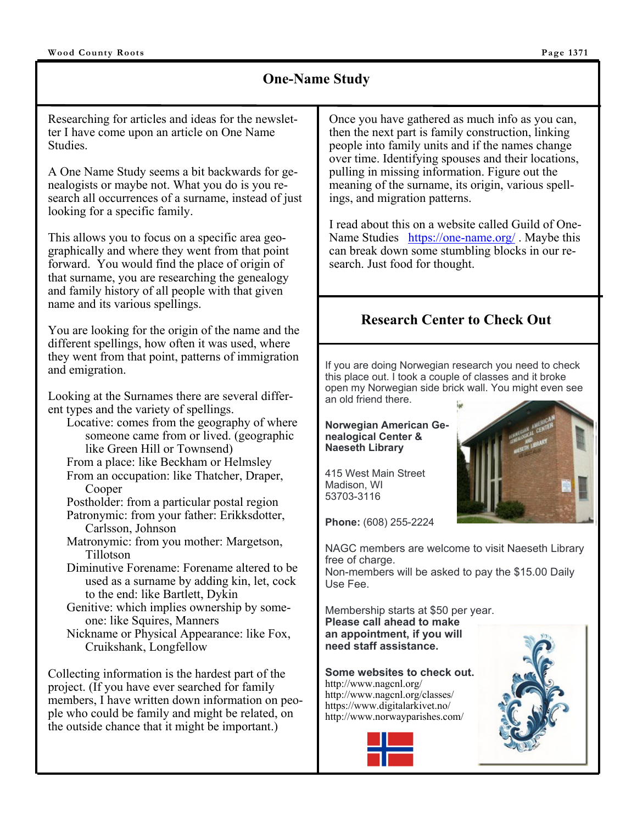### **One-Name Study**

Researching for articles and ideas for the newsletter I have come upon an article on One Name Studies.

A One Name Study seems a bit backwards for genealogists or maybe not. What you do is you research all occurrences of a surname, instead of just looking for a specific family.

This allows you to focus on a specific area geographically and where they went from that point forward. You would find the place of origin of that surname, you are researching the genealogy and family history of all people with that given name and its various spellings.

You are looking for the origin of the name and the different spellings, how often it was used, where they went from that point, patterns of immigration and emigration.

Looking at the Surnames there are several different types and the variety of spellings.

- Locative: comes from the geography of where someone came from or lived. (geographic like Green Hill or Townsend)
- From a place: like Beckham or Helmsley
- From an occupation: like Thatcher, Draper, Cooper
- Postholder: from a particular postal region Patronymic: from your father: Erikksdotter,
- Carlsson, Johnson Matronymic: from you mother: Margetson,
- Tillotson Diminutive Forename: Forename altered to be used as a surname by adding kin, let, cock to the end: like Bartlett, Dykin
- Genitive: which implies ownership by someone: like Squires, Manners

Nickname or Physical Appearance: like Fox, Cruikshank, Longfellow

Collecting information is the hardest part of the project. (If you have ever searched for family members, I have written down information on people who could be family and might be related, on the outside chance that it might be important.)

Once you have gathered as much info as you can, then the next part is family construction, linking people into family units and if the names change over time. Identifying spouses and their locations, pulling in missing information. Figure out the meaning of the surname, its origin, various spellings, and migration patterns.

I read about this on a website called Guild of One-Name Studies https://one-name.org/ . Maybe this can break down some stumbling blocks in our research. Just food for thought.

# **Research Center to Check Out**

If you are doing Norwegian research you need to check this place out. I took a couple of classes and it broke open my Norwegian side brick wall. You might even see an old friend there.

#### **Norwegian American Genealogical Center & Naeseth Library**

415 West Main Street Madison, WI 53703-3116

**Phone:** (608) 255-2224

NAGC members are welcome to visit Naeseth Library free of charge.

Non-members will be asked to pay the \$15.00 Daily Use Fee.

Membership starts at \$50 per year. **Please call ahead to make an appointment, if you will need staff assistance.** 

**Some websites to check out.**  http://www.nagcnl.org/ http://www.nagcnl.org/classes/ https://www.digitalarkivet.no/ http://www.norwayparishes.com/







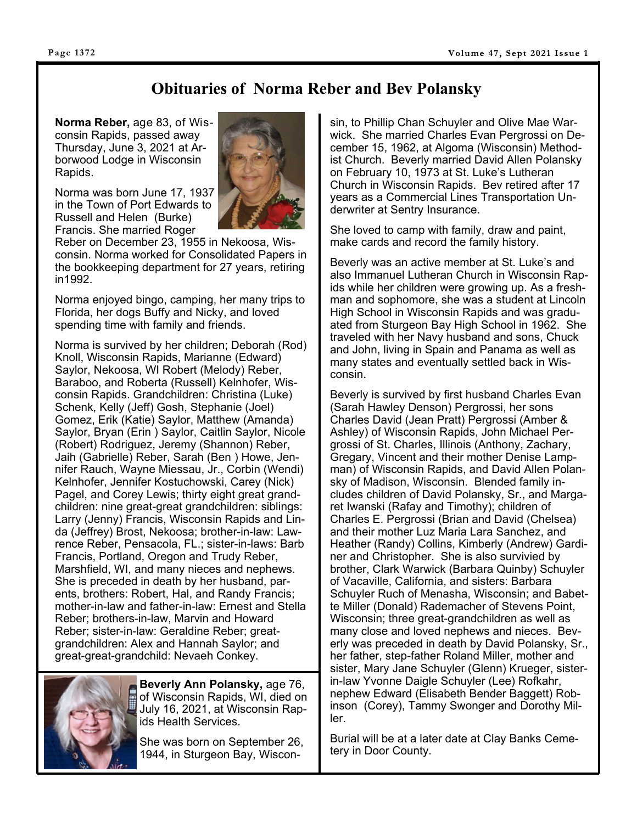# **Obituaries of Norma Reber and Bev Polansky**

**Norma Reber,** age 83, of Wisconsin Rapids, passed away Thursday, June 3, 2021 at Arborwood Lodge in Wisconsin Rapids.

Norma was born June 17, 1937 in the Town of Port Edwards to Russell and Helen (Burke) Francis. She married Roger



Reber on December 23, 1955 in Nekoosa, Wisconsin. Norma worked for Consolidated Papers in the bookkeeping department for 27 years, retiring in1992.

Norma enjoyed bingo, camping, her many trips to Florida, her dogs Buffy and Nicky, and loved spending time with family and friends.

Norma is survived by her children; Deborah (Rod) Knoll, Wisconsin Rapids, Marianne (Edward) Saylor, Nekoosa, WI Robert (Melody) Reber, Baraboo, and Roberta (Russell) Kelnhofer, Wisconsin Rapids. Grandchildren: Christina (Luke) Schenk, Kelly (Jeff) Gosh, Stephanie (Joel) Gomez, Erik (Katie) Saylor, Matthew (Amanda) Saylor, Bryan (Erin ) Saylor, Caitlin Saylor, Nicole (Robert) Rodriguez, Jeremy (Shannon) Reber, Jaih (Gabrielle) Reber, Sarah (Ben ) Howe, Jennifer Rauch, Wayne Miessau, Jr., Corbin (Wendi) Kelnhofer, Jennifer Kostuchowski, Carey (Nick) Pagel, and Corey Lewis; thirty eight great grandchildren: nine great-great grandchildren: siblings: Larry (Jenny) Francis, Wisconsin Rapids and Linda (Jeffrey) Brost, Nekoosa; brother-in-law: Lawrence Reber, Pensacola, FL.; sister-in-laws: Barb Francis, Portland, Oregon and Trudy Reber, Marshfield, WI, and many nieces and nephews. She is preceded in death by her husband, parents, brothers: Robert, Hal, and Randy Francis; mother-in-law and father-in-law: Ernest and Stella Reber; brothers-in-law, Marvin and Howard Reber; sister-in-law: Geraldine Reber; greatgrandchildren: Alex and Hannah Saylor; and great-great-grandchild: Nevaeh Conkey.



**Beverly Ann Polansky,** age 76, of Wisconsin Rapids, WI, died on July 16, 2021, at Wisconsin Rapids Health Services.

She was born on September 26, 1944, in Sturgeon Bay, Wisconsin, to Phillip Chan Schuyler and Olive Mae Warwick. She married Charles Evan Pergrossi on December 15, 1962, at Algoma (Wisconsin) Methodist Church. Beverly married David Allen Polansky on February 10, 1973 at St. Luke's Lutheran Church in Wisconsin Rapids. Bev retired after 17 years as a Commercial Lines Transportation Underwriter at Sentry Insurance.

She loved to camp with family, draw and paint, make cards and record the family history.

Beverly was an active member at St. Luke's and also Immanuel Lutheran Church in Wisconsin Rapids while her children were growing up. As a freshman and sophomore, she was a student at Lincoln High School in Wisconsin Rapids and was graduated from Sturgeon Bay High School in 1962. She traveled with her Navy husband and sons, Chuck and John, living in Spain and Panama as well as many states and eventually settled back in Wisconsin.

Beverly is survived by first husband Charles Evan (Sarah Hawley Denson) Pergrossi, her sons Charles David (Jean Pratt) Pergrossi (Amber & Ashley) of Wisconsin Rapids, John Michael Pergrossi of St. Charles, Illinois (Anthony, Zachary, Gregary, Vincent and their mother Denise Lampman) of Wisconsin Rapids, and David Allen Polansky of Madison, Wisconsin. Blended family includes children of David Polansky, Sr., and Margaret Iwanski (Rafay and Timothy); children of Charles E. Pergrossi (Brian and David (Chelsea) and their mother Luz Maria Lara Sanchez, and Heather (Randy) Collins, Kimberly (Andrew) Gardiner and Christopher. She is also survivied by brother, Clark Warwick (Barbara Quinby) Schuyler of Vacaville, California, and sisters: Barbara Schuyler Ruch of Menasha, Wisconsin; and Babette Miller (Donald) Rademacher of Stevens Point, Wisconsin; three great-grandchildren as well as many close and loved nephews and nieces. Beverly was preceded in death by David Polansky, Sr., her father, step-father Roland Miller, mother and sister, Mary Jane Schuyler (Glenn) Krueger, sisterin-law Yvonne Daigle Schuyler (Lee) Rofkahr, nephew Edward (Elisabeth Bender Baggett) Robinson (Corey), Tammy Swonger and Dorothy Miller.

Burial will be at a later date at Clay Banks Cemetery in Door County.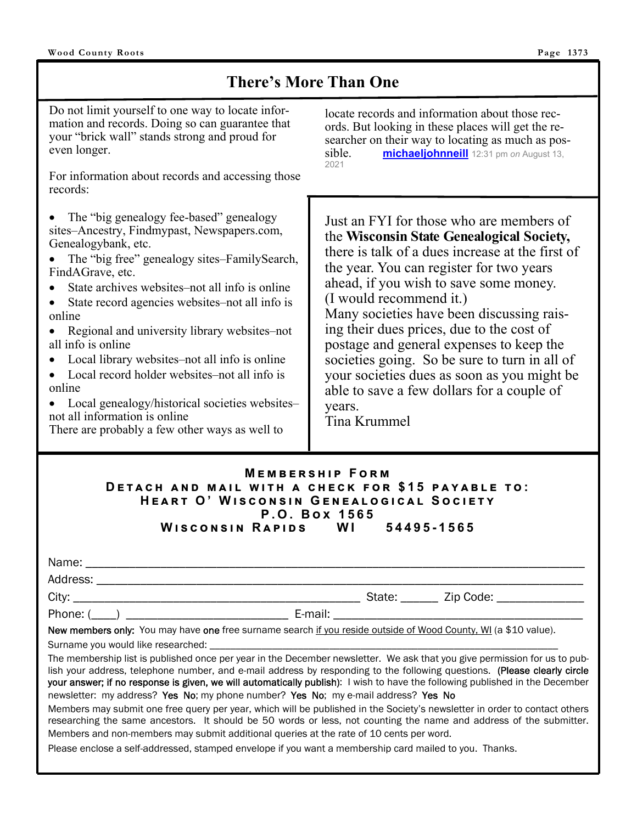# **There's More Than One**

Do not limit yourself to one way to locate information and records. Doing so can guarantee that your "brick wall" stands strong and proud for even longer.

For information about records and accessing those records:

- The "big genealogy fee-based" genealogy sites–Ancestry, Findmypast, Newspapers.com, Genealogybank, etc.
- The "big free" genealogy sites–FamilySearch, FindAGrave, etc.
- State archives websites–not all info is online
- State record agencies websites–not all info is online
- Regional and university library websites–not all info is online
- Local library websites–not all info is online
- Local record holder websites–not all info is online
- Local genealogy/historical societies websites– not all information is online

There are probably a few other ways as well to

locate records and information about those records. But looking in these places will get the researcher on their way to locating as much as possible. **michaeljohnneill** 12:31 pm *on* August 13, 2021

Just an FYI for those who are members of the **Wisconsin State Genealogical Society,**  there is talk of a dues increase at the first of the year. You can register for two years ahead, if you wish to save some money. (I would recommend it.) Many societies have been discussing raising their dues prices, due to the cost of postage and general expenses to keep the societies going. So be sure to turn in all of your societies dues as soon as you might be able to save a few dollars for a couple of years.

Tina Krummel

#### **MEMBERSHIP FORM DETACH AND MAIL WITH A CHECK FOR \$15 PAYABLE TO:**  $HEART$  O' WISCONSIN GENEALOGICAL SOCIETY

#### **P.O. B ච 1565 W එඛඋඖඛඑඖ R ඉඑඌඛ WI 54495-1565**

| Address: ___________________________                                                                            |  |                                 |
|-----------------------------------------------------------------------------------------------------------------|--|---------------------------------|
|                                                                                                                 |  | State: Zip Code: ______________ |
|                                                                                                                 |  |                                 |
| New members only: You may have one free surname search if you reside outside of Wood County, WI (a \$10 value). |  |                                 |

Surname you would like researched:

The membership list is published once per year in the December newsletter. We ask that you give permission for us to publish your address, telephone number, and e-mail address by responding to the following questions. (Please clearly circle your answer; if no response is given, we will automatically publish): I wish to have the following published in the December newsletter: my address? Yes No; my phone number? Yes No; my e-mail address? Yes No

Members may submit one free query per year, which will be published in the Society's newsletter in order to contact others researching the same ancestors. It should be 50 words or less, not counting the name and address of the submitter. Members and non-members may submit additional queries at the rate of 10 cents per word.

Please enclose a self-addressed, stamped envelope if you want a membership card mailed to you. Thanks.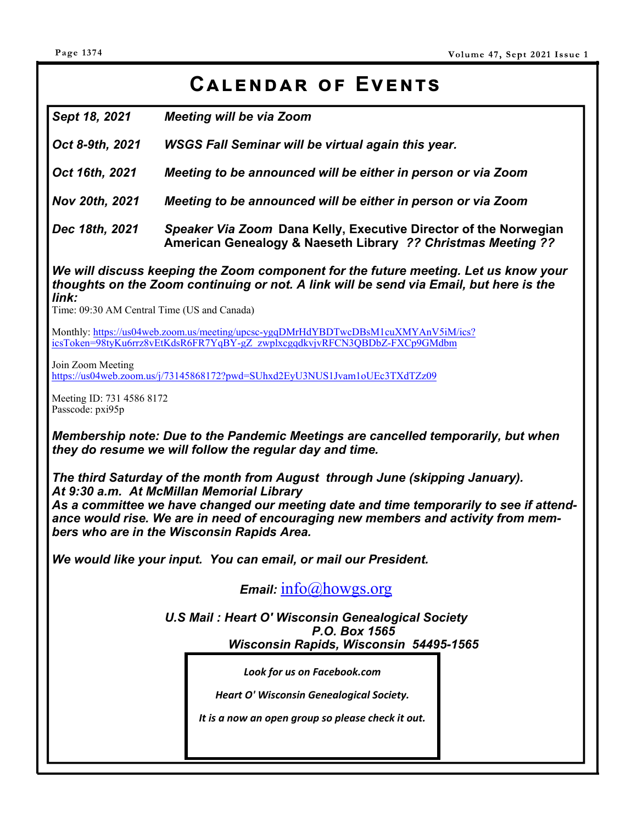# CALENDAR OF EVENTS

*Sept 18, 2021 Meeting will be via Zoom* 

*Oct 8-9th, 2021 WSGS Fall Seminar will be virtual again this year.* 

*Oct 16th, 2021 Meeting to be announced will be either in person or via Zoom* 

*Nov 20th, 2021 Meeting to be announced will be either in person or via Zoom* 

*Dec 18th, 2021 Speaker Via Zoom* **Dana Kelly, Executive Director of the Norwegian American Genealogy & Naeseth Library** *?? Christmas Meeting ??* 

*We will discuss keeping the Zoom component for the future meeting. Let us know your thoughts on the Zoom continuing or not. A link will be send via Email, but here is the link:* 

Time: 09:30 AM Central Time (US and Canada)

Monthly: https://us04web.zoom.us/meeting/upcsc-ygqDMrHdYBDTwcDBsM1cuXMYAnV5iM/ics? icsToken=98tyKu6rrz8vEtKdsR6FR7YqBY-gZ\_zwplxcgqdkvjvRFCN3QBDbZ-FXCp9GMdbm

Join Zoom Meeting

https://us04web.zoom.us/j/73145868172?pwd=SUhxd2EyU3NUS1Jvam1oUEc3TXdTZz09

Meeting ID: 731 4586 8172 Passcode: pxi95p

*Membership note: Due to the Pandemic Meetings are cancelled temporarily, but when they do resume we will follow the regular day and time.* 

*The third Saturday of the month from August through June (skipping January). At 9:30 a.m. At McMillan Memorial Library As a committee we have changed our meeting date and time temporarily to see if attendance would rise. We are in need of encouraging new members and activity from members who are in the Wisconsin Rapids Area.* 

*We would like your input. You can email, or mail our President.* 

*Email:* info@howgs.org

*U.S Mail : Heart O' Wisconsin Genealogical Society P.O. Box 1565 Wisconsin Rapids, Wisconsin 54495-1565*

*Look for us on Facebook.com* 

*Heart O' Wisconsin Genealogical Society.* 

*It is a now an open group so please check it out.*